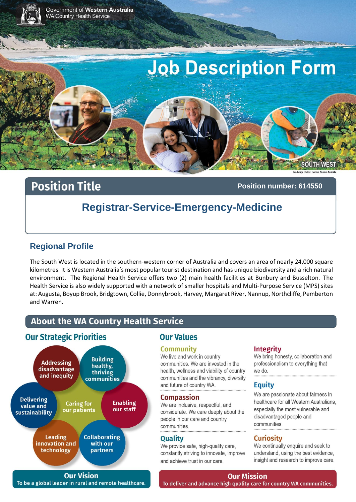

# **Position Title**

Position number: 614550

# **Registrar-Service-Emergency-Medicine**

## **Regional Profile**

The South West is located in the southern-western corner of Australia and covers an area of nearly 24,000 square kilometres. It is Western Australia's most popular tourist destination and has unique biodiversity and a rich natural environment. The Regional Health Service offers two (2) main health facilities at Bunbury and Busselton. The Health Service is also widely supported with a network of smaller hospitals and Multi-Purpose Service (MPS) sites at: Augusta, Boyup Brook, Bridgtown, Collie, Donnybrook, Harvey, Margaret River, Nannup, Northcliffe, Pemberton and Warren.

# **About the WA Country Health Service**

### **Our Strategic Priorities**



**Our Vision** To be a global leader in rural and remote healthcare.

# **Our Values**

#### **Community**

#### We live and work in country

communities. We are invested in the health, wellness and viability of country communities and the vibrancy, diversity and future of country WA.

#### **Compassion**

We are inclusive, respectful, and considerate. We care deeply about the people in our care and country communities.

#### **Quality**

We provide safe, high-quality care, constantly striving to innovate, improve and achieve trust in our care.

#### Integrity

We bring honesty, collaboration and professionalism to everything that we do.

#### **Equity**

We are passionate about fairness in healthcare for all Western Australians. especially the most vulnerable and disadvantaged people and communities

#### **Curiosity**

We continually enquire and seek to understand, using the best evidence, insight and research to improve care.

#### **Our Mission**

To deliver and advance high quality care for country WA communities.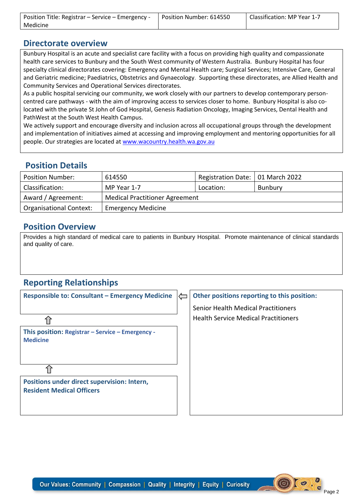| Position Title: Registrar - Service - Emergency - | Position Number: 614550 | Classification: MP Year 1-7 |
|---------------------------------------------------|-------------------------|-----------------------------|
| Medicine                                          |                         |                             |

#### **Directorate overview**

Bunbury Hospital is an acute and specialist care facility with a focus on providing high quality and compassionate health care services to Bunbury and the South West community of Western Australia. Bunbury Hospital has four specialty clinical directorates covering: Emergency and Mental Health care; Surgical Services; Intensive Care, General and Geriatric medicine; Paediatrics, Obstetrics and Gynaecology. Supporting these directorates, are Allied Health and Community Services and Operational Services directorates.

As a public hospital servicing our community, we work closely with our partners to develop contemporary personcentred care pathways - with the aim of improving access to services closer to home. Bunbury Hospital is also colocated with the private St John of God Hospital, Genesis Radiation Oncology, Imaging Services, Dental Health and PathWest at the South West Health Campus.

We actively support and encourage diversity and inclusion across all occupational groups through the development and implementation of initiatives aimed at accessing and improving employment and mentoring opportunities for all people. Our strategies are located at [www.wacountry.health.wa.gov.au](http://www.wacountry.health.wa.gov.au/)

#### **Position Details**

| <b>Position Number:</b>        | 614550                                | Registration Date: 01 March 2022 |         |  |
|--------------------------------|---------------------------------------|----------------------------------|---------|--|
| Classification:                | MP Year 1-7                           | Location:                        | Bunbury |  |
| Award / Agreement:             | <b>Medical Practitioner Agreement</b> |                                  |         |  |
| <b>Organisational Context:</b> | <b>Emergency Medicine</b>             |                                  |         |  |

### **Position Overview**

Provides a high standard of medical care to patients in Bunbury Hospital. Promote maintenance of clinical standards and quality of care.

# **Reporting Relationships**

| <b>Responsible to: Consultant - Emergency Medicine</b>                          | $\Longleftarrow$ | Other positions reporting to this position: |
|---------------------------------------------------------------------------------|------------------|---------------------------------------------|
|                                                                                 |                  | Senior Health Medical Practitioners         |
|                                                                                 |                  | <b>Health Service Medical Practitioners</b> |
| This position: Registrar - Service - Emergency -<br><b>Medicine</b>             |                  |                                             |
| Positions under direct supervision: Intern,<br><b>Resident Medical Officers</b> |                  |                                             |
|                                                                                 |                  |                                             |

Lo's

 $\circled{(\bullet)}$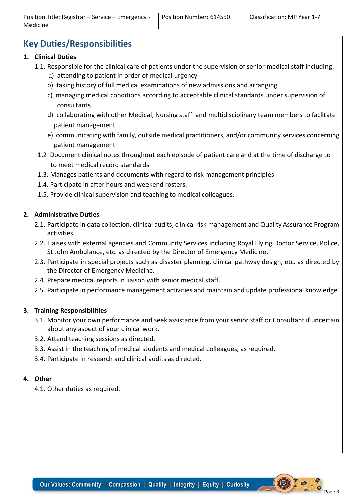# **Key Duties/Responsibilities**

- **1. Clinical Duties**
	- 1.1. Responsible for the clinical care of patients under the supervision of senior medical staff including: a) attending to patient in order of medical urgency
		- b) taking history of full medical examinations of new admissions and arranging
		- c) managing medical conditions according to acceptable clinical standards under supervision of consultants
		- d) collaborating with other Medical, Nursing staff and multidisciplinary team members to faclitate patient management
		- e) communicating with family, outside medical practitioners, and/or community services concerning patient management
	- 1.2 Document clinical notes throughout each episode of patient care and at the time of discharge to to meet medical record standards
	- 1.3. Manages patients and documents with regard to risk management principles
	- 1.4. Participate in after hours and weekend rosters.
	- 1.5. Provide clinical supervision and teaching to medical colleagues.

#### **2. Administrative Duties**

- 2.1. Participate in data collection, clinical audits, clinical risk management and Quality Assurance Program activities.
- 2.2. Liaises with external agencies and Community Services including Royal Flying Doctor Service, Police, St John Ambulance, etc. as directed by the Director of Emergency Medicine.
- 2.3. Participate in special projects such as disaster planning, clinical pathway design, etc. as directed by the Director of Emergency Medicine.
- 2.4. Prepare medical reports in liaison with senior medical staff.
- 2.5. Participate in performance management activities and maintain and update professional knowledge.

#### **3. Training Responsibilities**

- 3.1. Monitor your own performance and seek assistance from your senior staff or Consultant if uncertain about any aspect of your clinical work.
- 3.2. Attend teaching sessions as directed.
- 3.3. Assist in the teaching of medical students and medical colleagues, as required.
- 3.4. Participate in research and clinical audits as directed.

#### **4. Other**

4.1. Other duties as required.

 $O<sup>o</sup>$ .